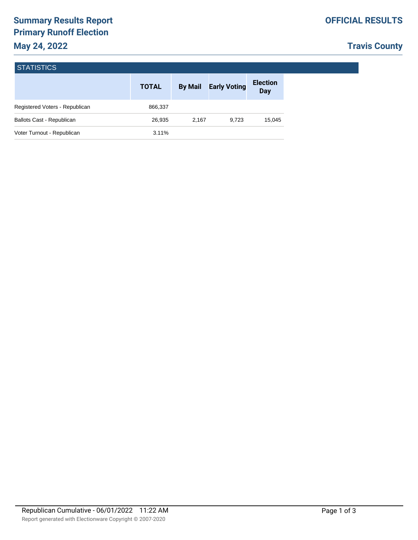# **Travis County**

|                                  | <b>TOTAL</b> | <b>By Mail</b> | <b>Early Voting</b> | <b>Election</b><br>Day |
|----------------------------------|--------------|----------------|---------------------|------------------------|
| Registered Voters - Republican   | 866,337      |                |                     |                        |
| <b>Ballots Cast - Republican</b> | 26,935       | 2.167          | 9.723               | 15,045                 |
| Voter Turnout - Republican       | 3.11%        |                |                     |                        |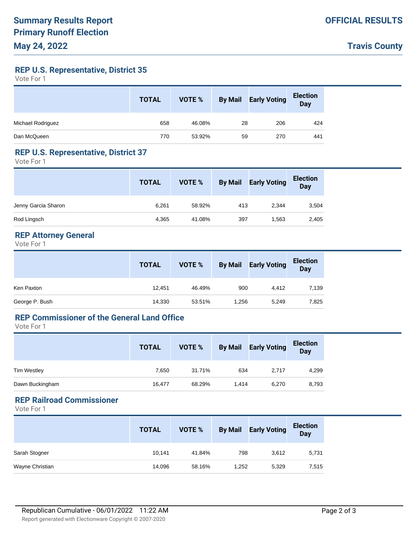**Travis County**

**REP U.S. Representative, District 35**

Vote For 1

|                   | <b>TOTAL</b> | VOTE % | <b>By Mail</b> | <b>Early Voting</b> | <b>Election</b><br><b>Day</b> |
|-------------------|--------------|--------|----------------|---------------------|-------------------------------|
| Michael Rodriguez | 658          | 46.08% | 28             | 206                 | 424                           |
| Dan McQueen       | 770          | 53.92% | 59             | 270                 | 441                           |

#### **REP U.S. Representative, District 37**

Vote For 1

|                     | <b>TOTAL</b> | VOTE % | <b>By Mail</b> | <b>Early Voting</b> | <b>Election</b><br><b>Day</b> |
|---------------------|--------------|--------|----------------|---------------------|-------------------------------|
| Jenny Garcia Sharon | 6,261        | 58.92% | 413            | 2,344               | 3,504                         |
| Rod Lingsch         | 4,365        | 41.08% | 397            | 1,563               | 2,405                         |

### **REP Attorney General**

Vote For 1

|                | <b>TOTAL</b> | VOTE % | <b>By Mail</b> | <b>Early Voting</b> | <b>Election</b><br>Day |
|----------------|--------------|--------|----------------|---------------------|------------------------|
| Ken Paxton     | 12,451       | 46.49% | 900            | 4.412               | 7,139                  |
| George P. Bush | 14,330       | 53.51% | 1,256          | 5,249               | 7,825                  |

### **REP Commissioner of the General Land Office**

Vote For 1

|                    | <b>TOTAL</b> | VOTE % | <b>By Mail</b> | <b>Early Voting</b> | <b>Election</b><br><b>Day</b> |
|--------------------|--------------|--------|----------------|---------------------|-------------------------------|
| <b>Tim Westley</b> | 7.650        | 31.71% | 634            | 2,717               | 4,299                         |
| Dawn Buckingham    | 16,477       | 68.29% | 1.414          | 6,270               | 8,793                         |

## **REP Railroad Commissioner**

Vote For 1

|                 | <b>TOTAL</b> | VOTE % | <b>By Mail</b> | <b>Early Voting</b> | <b>Election</b><br><b>Day</b> |
|-----------------|--------------|--------|----------------|---------------------|-------------------------------|
| Sarah Stogner   | 10,141       | 41.84% | 798            | 3,612               | 5,731                         |
| Wayne Christian | 14,096       | 58.16% | 1,252          | 5,329               | 7,515                         |